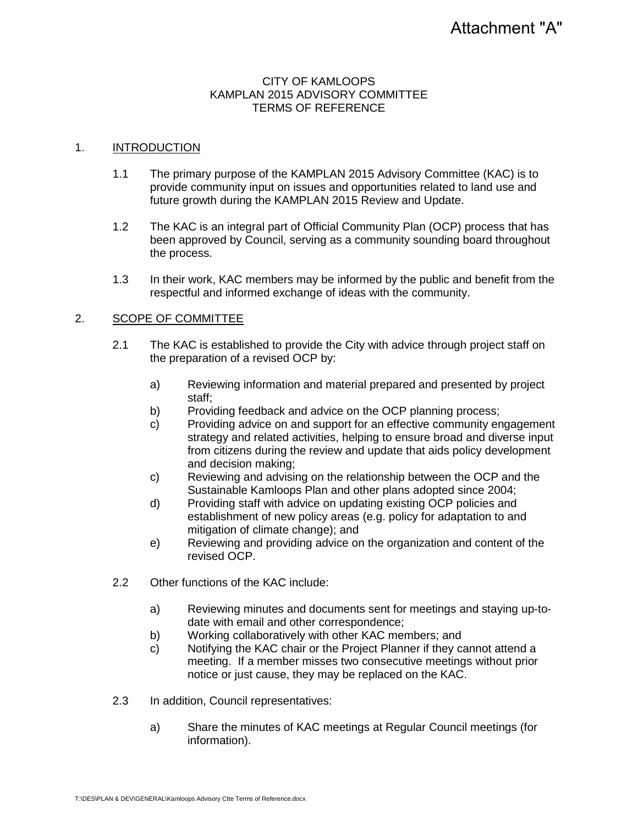#### CITY OF KAMLOOPS KAMPLAN 2015 ADVISORY COMMITTEE TERMS OF REFERENCE

#### 1. INTRODUCTION

- 1.1 The primary purpose of the KAMPLAN 2015 Advisory Committee (KAC) is to provide community input on issues and opportunities related to land use and future growth during the KAMPLAN 2015 Review and Update.
- 1.2 The KAC is an integral part of Official Community Plan (OCP) process that has been approved by Council, serving as a community sounding board throughout the process.
- 1.3 In their work, KAC members may be informed by the public and benefit from the respectful and informed exchange of ideas with the community.

## 2. SCOPE OF COMMITTEE

- 2.1 The KAC is established to provide the City with advice through project staff on the preparation of a revised OCP by:
	- a) Reviewing information and material prepared and presented by project staff;
	- b) Providing feedback and advice on the OCP planning process;
	- c) Providing advice on and support for an effective community engagement strategy and related activities, helping to ensure broad and diverse input from citizens during the review and update that aids policy development and decision making;
	- c) Reviewing and advising on the relationship between the OCP and the Sustainable Kamloops Plan and other plans adopted since 2004;
	- d) Providing staff with advice on updating existing OCP policies and establishment of new policy areas (e.g. policy for adaptation to and mitigation of climate change); and
	- e) Reviewing and providing advice on the organization and content of the revised OCP.
- 2.2 Other functions of the KAC include:
	- a) Reviewing minutes and documents sent for meetings and staying up-todate with email and other correspondence;
	- b) Working collaboratively with other KAC members; and
	- c) Notifying the KAC chair or the Project Planner if they cannot attend a meeting. If a member misses two consecutive meetings without prior notice or just cause, they may be replaced on the KAC.
- 2.3 In addition, Council representatives:
	- a) Share the minutes of KAC meetings at Regular Council meetings (for information).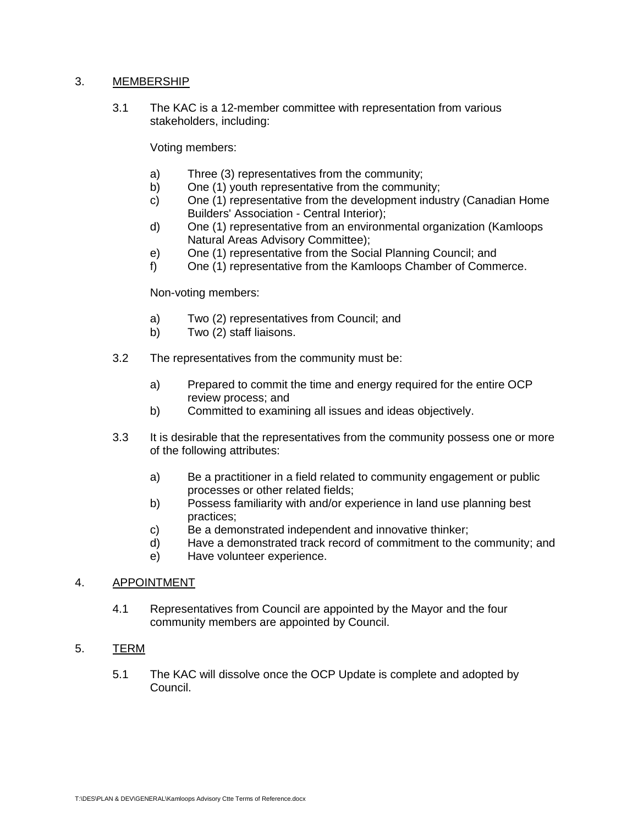## 3. MEMBERSHIP

3.1 The KAC is a 12-member committee with representation from various stakeholders, including:

Voting members:

- a) Three (3) representatives from the community;
- b) One (1) youth representative from the community;
- c) One (1) representative from the development industry (Canadian Home Builders' Association - Central Interior);
- d) One (1) representative from an environmental organization (Kamloops Natural Areas Advisory Committee);
- e) One (1) representative from the Social Planning Council; and
- f) One (1) representative from the Kamloops Chamber of Commerce.

Non-voting members:

- a) Two (2) representatives from Council; and
- b) Two (2) staff liaisons.
- 3.2 The representatives from the community must be:
	- a) Prepared to commit the time and energy required for the entire OCP review process; and
	- b) Committed to examining all issues and ideas objectively.
- 3.3 It is desirable that the representatives from the community possess one or more of the following attributes:
	- a) Be a practitioner in a field related to community engagement or public processes or other related fields;
	- b) Possess familiarity with and/or experience in land use planning best practices;
	- c) Be a demonstrated independent and innovative thinker;
	- d) Have a demonstrated track record of commitment to the community; and
	- e) Have volunteer experience.

#### 4. APPOINTMENT

4.1 Representatives from Council are appointed by the Mayor and the four community members are appointed by Council.

# 5. TERM

5.1 The KAC will dissolve once the OCP Update is complete and adopted by Council.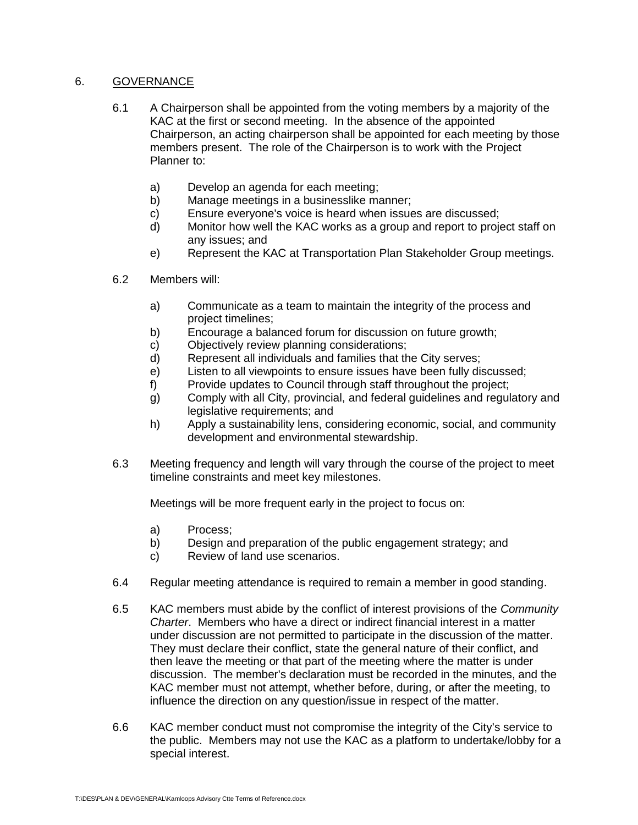# 6. GOVERNANCE

- 6.1 A Chairperson shall be appointed from the voting members by a majority of the KAC at the first or second meeting. In the absence of the appointed Chairperson, an acting chairperson shall be appointed for each meeting by those members present. The role of the Chairperson is to work with the Project Planner to:
	- a) Develop an agenda for each meeting;
	- b) Manage meetings in a businesslike manner;
	- c) Ensure everyone's voice is heard when issues are discussed;
	- d) Monitor how well the KAC works as a group and report to project staff on any issues; and
	- e) Represent the KAC at Transportation Plan Stakeholder Group meetings.
- 6.2 Members will:
	- a) Communicate as a team to maintain the integrity of the process and project timelines;
	- b) Encourage a balanced forum for discussion on future growth;
	- c) Objectively review planning considerations;
	- d) Represent all individuals and families that the City serves;
	- e) Listen to all viewpoints to ensure issues have been fully discussed;
	- f) Provide updates to Council through staff throughout the project;
	- g) Comply with all City, provincial, and federal guidelines and regulatory and legislative requirements; and
	- h) Apply a sustainability lens, considering economic, social, and community development and environmental stewardship.
- 6.3 Meeting frequency and length will vary through the course of the project to meet timeline constraints and meet key milestones.

Meetings will be more frequent early in the project to focus on:

- a) Process;
- b) Design and preparation of the public engagement strategy; and
- c) Review of land use scenarios.
- 6.4 Regular meeting attendance is required to remain a member in good standing.
- 6.5 KAC members must abide by the conflict of interest provisions of the *Community Charter*. Members who have a direct or indirect financial interest in a matter under discussion are not permitted to participate in the discussion of the matter. They must declare their conflict, state the general nature of their conflict, and then leave the meeting or that part of the meeting where the matter is under discussion. The member's declaration must be recorded in the minutes, and the KAC member must not attempt, whether before, during, or after the meeting, to influence the direction on any question/issue in respect of the matter.
- 6.6 KAC member conduct must not compromise the integrity of the City's service to the public. Members may not use the KAC as a platform to undertake/lobby for a special interest.